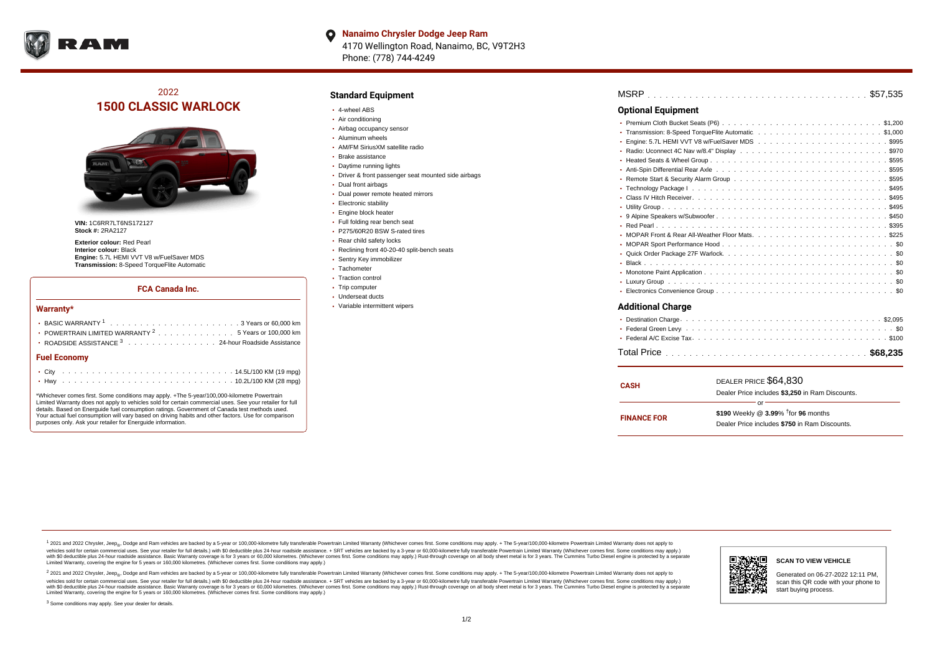

**Nanaimo Chrysler Dodge Jeep Ram**  $\bullet$ 4170 Wellington Road, Nanaimo, BC, V9T2H3 Phone: (778) 744-4249

# 2022 **1500 CLASSIC WARLOCK**



**VIN:** 1C6RR7LT6NS172127 **Stock #:** 2RA2127

**Exterior colour:** Red Pearl **Interior colour:** Black **Engine:** 5.7L HEMI VVT V8 w/FuelSaver MDS **Transmission:** 8-Speed TorqueFlite Automatic

#### **FCA Canada Inc.**

#### **Warranty\***

| POWERTRAIN LIMITED WARRANTY $2 \ldots \ldots \ldots \ldots \ldots 5$ Years or 100,000 km |  |
|------------------------------------------------------------------------------------------|--|
| • ROADSIDE ASSISTANCE 3 24-hour Roadside Assistance                                      |  |
| <b>Fuel Economy</b>                                                                      |  |
|                                                                                          |  |

\*Whichever comes first. Some conditions may apply. +The 5-year/100,000-kilometre Powertrain Limited Warranty does not apply to vehicles sold for certain commercial uses. See your retailer for full details. Based on Energuide fuel consumption ratings. Government of Canada test methods used. Your actual fuel consumption will vary based on driving habits and other factors. Use for comparison purposes only. Ask your retailer for Energuide information.

. . . . . . . . . . . . . . . . . . . . . . . . . . . . . . . . . . . . . . . . . . . Hwy 10.2L/100 KM (28 mpg)

### **Standard Equipment**

- 4-wheel ABS
- Air conditioning
- Airbag occupancy sensor
- Aluminum wheels
- AM/FM SiriusXM satellite radio
- Brake assistance
- Daytime running lights
- Driver & front passenger seat mounted side airbags
- Dual front airbags
- Dual power remote heated mirrors
- **Electronic stability**
- Engine block heater
- Full folding rear bench seat
- P275/60R20 BSW S-rated tires
- Rear child safety locks
- Reclining front 40-20-40 split-bench seats
- Sentry Key immobilizer
- Tachometer
- Traction control • Trip computer
- Underseat ducts
- Variable intermittent wipers

| <b>Optional Equipment</b> |  |  |  |  |  |  |  |  |  |  |  |
|---------------------------|--|--|--|--|--|--|--|--|--|--|--|
|                           |  |  |  |  |  |  |  |  |  |  |  |
| ٠                         |  |  |  |  |  |  |  |  |  |  |  |
| ٠                         |  |  |  |  |  |  |  |  |  |  |  |
| ٠                         |  |  |  |  |  |  |  |  |  |  |  |
| ٠                         |  |  |  |  |  |  |  |  |  |  |  |
| ۰                         |  |  |  |  |  |  |  |  |  |  |  |
|                           |  |  |  |  |  |  |  |  |  |  |  |
| ٠                         |  |  |  |  |  |  |  |  |  |  |  |
| ٠                         |  |  |  |  |  |  |  |  |  |  |  |
| ٠                         |  |  |  |  |  |  |  |  |  |  |  |
| ٠                         |  |  |  |  |  |  |  |  |  |  |  |
| ٠                         |  |  |  |  |  |  |  |  |  |  |  |
|                           |  |  |  |  |  |  |  |  |  |  |  |
| ٠                         |  |  |  |  |  |  |  |  |  |  |  |
| ٠                         |  |  |  |  |  |  |  |  |  |  |  |
| ٠                         |  |  |  |  |  |  |  |  |  |  |  |
|                           |  |  |  |  |  |  |  |  |  |  |  |
| ٠                         |  |  |  |  |  |  |  |  |  |  |  |
|                           |  |  |  |  |  |  |  |  |  |  |  |
| <b>Additional Charge</b>  |  |  |  |  |  |  |  |  |  |  |  |

| <b>CASH</b>        | DEALER PRICE \$64,830                              |  |  |  |  |  |  |  |  |  |
|--------------------|----------------------------------------------------|--|--|--|--|--|--|--|--|--|
|                    | Dealer Price includes \$3.250 in Ram Discounts.    |  |  |  |  |  |  |  |  |  |
|                    | Ωr                                                 |  |  |  |  |  |  |  |  |  |
| <b>FINANCE FOR</b> | \$190 Weekly @ $3.99\%$ <sup>†</sup> for 96 months |  |  |  |  |  |  |  |  |  |
|                    | Dealer Price includes \$750 in Ram Discounts.      |  |  |  |  |  |  |  |  |  |
|                    |                                                    |  |  |  |  |  |  |  |  |  |

<sup>1</sup> 2021 and 2022 Chrysler, Jeep<sub>®</sub>, Dodge and Ram vehicles are backed by a 5-year or 100,000-kilometre fully transferable Powertrain Limited Warranty (Whichever comes first. Some conditions may apply. + The 5-year/100,000 vehicles sold for certain commercial uses. See your retailer for full details.) with \$0 deductible plus 24 hour roadside assistance. + SRT vehicles are backed by a 3-year or 60,000-kilometre fully transferable Powertrain L versus and contract the mean of the contract of the contract with a contract with a contract the contract of the contract of the contract the contract of the contract of the contract of the contract of the contract of the Limited Warranty, covering the engine for 5 years or 160,000 kilometres. (Whichever comes first. Some conditions may apply.)

2 2021 and 2022 Chrysler, Jeep<sub>®</sub>, Dodge and Ram vehicles are backed by a 5-year or 100,000-kilometre fully transferable Powertrain Limited Warranty (Whichever comes first. Some conditions may apply. + The 5-year/100,000-k vehicles sold for certain commercial uses. See your retailer for full details.) with SO deductible plus 24-hour roadside assistance. + SRT vehicles are backed by a 3-year or 60.000-kilometre fully transferable Powertrain. with S0 deductible plus 24-hour roadside assistance. Basic Warranty coverage is for 3 years or 60,000 kilometres. (Whichever comes first. Some conditions may apply.) Rust-through coverage on all body sheet metal is for 3 y



**SCAN TO VIEW VEHICLE**

Generated on 06-27-2022 12:11 PM, scan this QR code with your phone to start buying process.

<sup>3</sup> Some conditions may apply. See your dealer for details.